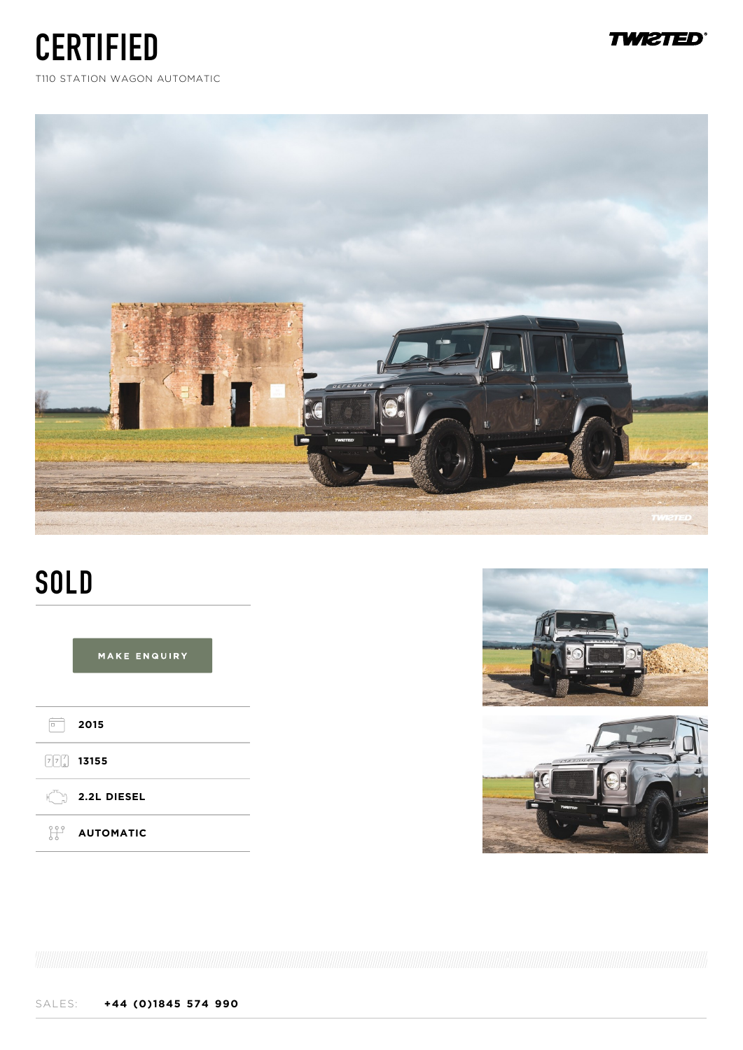**TWI2TED** 

T110 STATION WAGON AUTOMATIC

**CERTIFIED** 



# **SOLD**